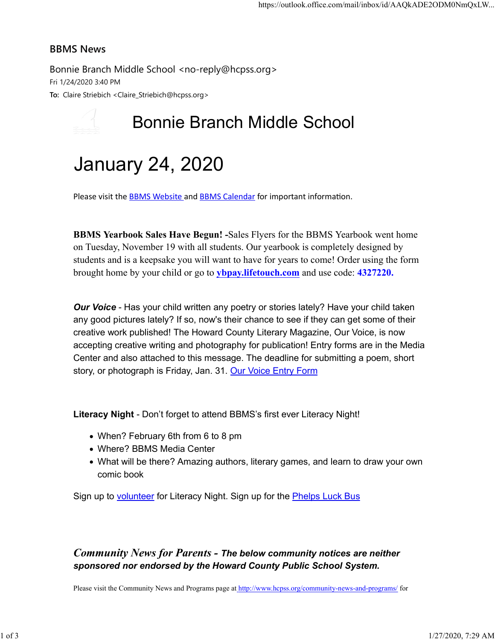#### BBMS News

Bonnie Branch Middle School <no-reply@hcpss.org> Fri 1/24/2020 3:40 PM To: Claire Striebich <Claire\_Striebich@hcpss.org>

## Bonnie Branch Middle School

# January 24, 2020

Please visit the **BBMS Website and BBMS Calendar** for important information.

BBMS Yearbook Sales Have Begun! -Sales Flyers for the BBMS Yearbook went home on Tuesday, November 19 with all students. Our yearbook is completely designed by students and is a keepsake you will want to have for years to come! Order using the form brought home by your child or go to ybpay.lifetouch.com and use code: 4327220.

**Our Voice** - Has your child written any poetry or stories lately? Have your child taken any good pictures lately? If so, now's their chance to see if they can get some of their creative work published! The Howard County Literary Magazine, Our Voice, is now accepting creative writing and photography for publication! Entry forms are in the Media Center and also attached to this message. The deadline for submitting a poem, short story, or photograph is Friday, Jan. 31. Our Voice Entry Form

Literacy Night - Don't forget to attend BBMS's first ever Literacy Night!

- When? February 6th from 6 to 8 pm
- Where? BBMS Media Center
- What will be there? Amazing authors, literary games, and learn to draw your own comic book

Sign up to **volunteer** for Literacy Night. Sign up for the **Phelps Luck Bus** 

### Community News for Parents - The below community notices are neither sponsored nor endorsed by the Howard County Public School System.

Please visit the Community News and Programs page at http://www.hcpss.org/community-news-and-programs/ for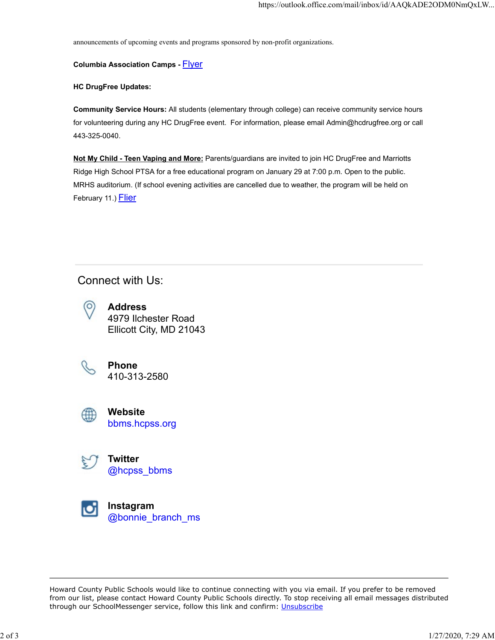announcements of upcoming events and programs sponsored by non-profit organizations.

#### **Columbia Association Camps - Flyer**

#### HC DrugFree Updates:

Community Service Hours: All students (elementary through college) can receive community service hours for volunteering during any HC DrugFree event. For information, please email Admin@hcdrugfree.org or call 443-325-0040.

Not My Child - Teen Vaping and More: Parents/guardians are invited to join HC DrugFree and Marriotts Ridge High School PTSA for a free educational program on January 29 at 7:00 p.m. Open to the public. MRHS auditorium. (If school evening activities are cancelled due to weather, the program will be held on February 11.) **Flier** 

## Connect with Us:



Address 4979 Ilchester Road Ellicott City, MD 21043



Phone 410-313-2580



Website bbms.hcpss.org



**Twitter** @hcpss\_bbms



Instagram @bonnie\_branch\_ms

Howard County Public Schools would like to continue connecting with you via email. If you prefer to be removed from our list, please contact Howard County Public Schools directly. To stop receiving all email messages distributed through our SchoolMessenger service, follow this link and confirm: Unsubscribe